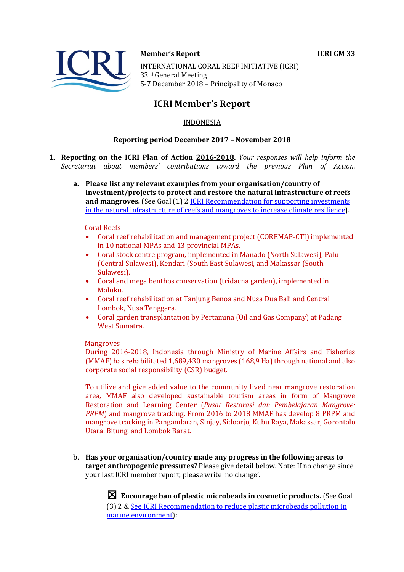



#### **Member's Report ICRI GM 33**

INTERNATIONAL CORAL REEF INITIATIVE (ICRI) 33rd General Meeting 5-7 December 2018 - Principality of Monaco

# **ICRI Member's Report**

## INDONESIA

## **Reporting period December 2017 – November 2018**

- **1. Reporting on the ICRI Plan of Action 2016-2018.** *Your responses will help inform the Secretariat about members' contributions toward the previous Plan of Action.*
	- a. Please list any relevant examples from your organisation/country of **investment/projects to protect and restore the natural infrastructure of reefs and mangroves.** (See Goal (1) 2 **ICRI** Recommendation for supporting investments in the natural infrastructure of reefs and mangroves to increase climate resilience).

#### Coral Reefs

- Coral reef rehabilitation and management project (COREMAP-CTI) implemented in 10 national MPAs and 13 provincial MPAs.
- Coral stock centre program, implemented in Manado (North Sulawesi), Palu (Central Sulawesi), Kendari (South East Sulawesi, and Makassar (South Sulawesi).
- Coral and mega benthos conservation (tridacna garden), implemented in Maluku.
- Coral reef rehabilitation at Tanjung Benoa and Nusa Dua Bali and Central Lombok, Nusa Tenggara.
- Coral garden transplantation by Pertamina (Oil and Gas Company) at Padang West Sumatra.

#### **Mangroves**

During 2016-2018, Indonesia through Ministry of Marine Affairs and Fisheries  $(MMAF)$  has rehabilitated 1,689,430 mangroves (168.9 Ha) through national and also corporate social responsibility (CSR) budget.

To utilize and give added value to the community lived near mangrove restoration area, MMAF also developed sustainable tourism areas in form of Mangrove Restoration and Learning Center (*Pusat Restorasi dan Pembelajaran Mangrove: PRPM*) and mangrove tracking. From 2016 to 2018 MMAF has develop 8 PRPM and mangrove tracking in Pangandaran, Sinjay, Sidoarjo, Kubu Raya, Makassar, Gorontalo Utara, Bitung, and Lombok Barat.

b. Has your organisation/country made any progress in the following areas to **target anthropogenic pressures?** Please give detail below. Note: If no change since your last ICRI member report, please write 'no change'.

> $\boxtimes$  **Encourage ban of plastic microbeads in cosmetic products.** (See Goal (3) 2 & See ICRI Recommendation to reduce plastic microbeads pollution in marine environment):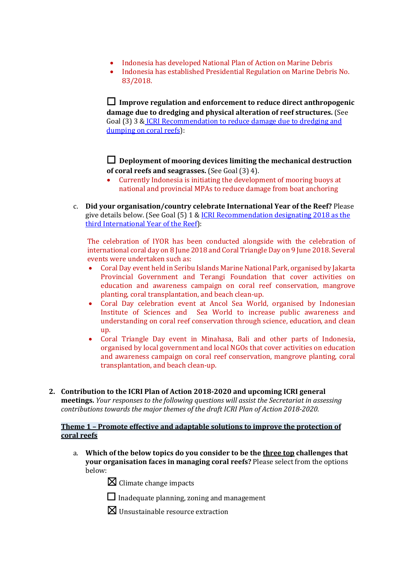- Indonesia has developed National Plan of Action on Marine Debris
- Indonesia has established Presidential Regulation on Marine Debris No. 83/2018.

 $\Box$  Improve regulation and enforcement to reduce direct anthropogenic **damage due to dredging and physical alteration of reef structures.** (See Goal (3) 3 & ICRI Recommendation to reduce damage due to dredging and dumping on coral reefs):

 $\Box$  Deployment of mooring devices limiting the mechanical destruction **of coral reefs and seagrasses.** (See Goal (3) 4).

- Currently Indonesia is initiating the development of mooring buoys at national and provincial MPAs to reduce damage from boat anchoring
- c. **Did your organisation/country celebrate International Year of the Reef?** Please give details below. (See Goal  $(5)$  1 & ICRI Recommendation designating 2018 as the third International Year of the Reef):

The celebration of IYOR has been conducted alongside with the celebration of international coral day on 8 June 2018 and Coral Triangle Day on 9 June 2018. Several events were undertaken such as:

- Coral Day event held in Seribu Islands Marine National Park, organised by Jakarta Provincial Government and Terangi Foundation that cover activities on education and awareness campaign on coral reef conservation, mangrove planting, coral transplantation, and beach clean-up.
- Coral Day celebration event at Ancol Sea World, organised by Indonesian Institute of Sciences and Sea World to increase public awareness and understanding on coral reef conservation through science, education, and clean up.
- Coral Triangle Day event in Minahasa, Bali and other parts of Indonesia, organised by local government and local NGOs that cover activities on education and awareness campaign on coral reef conservation, mangrove planting, coral transplantation, and beach clean-up.
- **2.** Contribution to the ICRI Plan of Action 2018-2020 and upcoming ICRI general **meetings.** *Your responses to the following questions will assist the Secretariat in assessing contributions towards the major themes of the draft ICRI Plan of Action 2018-2020.*

## **Theme 1 - Promote effective and adaptable solutions to improve the protection of coral reefs**

- a. Which of the below topics do you consider to be the three top challenges that **your organisation faces in managing coral reefs?** Please select from the options below:
	- $\boxtimes$  Climate change impacts
	- $\Box$  Inadequate planning, zoning and management
	- $\boxtimes$  Unsustainable resource extraction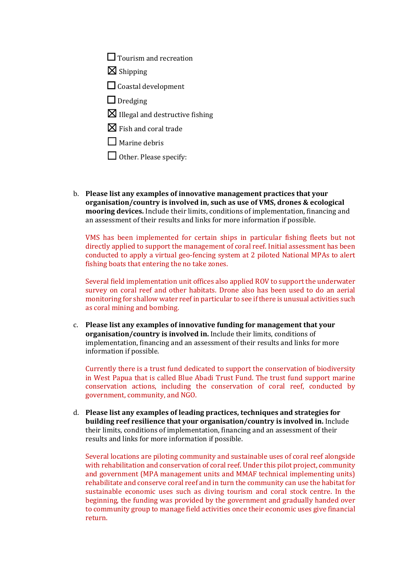$\Box$  Tourism and recreation

 $\boxtimes$  Shipping

□ Coastal development

 $\Box$  Dredging

 $\boxtimes$  Illegal and destructive fishing

 $\boxtimes$  Fish and coral trade

 $\Box$  Marine debris

 $\Box$  Other. Please specify:

b. Please list any examples of innovative management practices that your **organisation/country** is involved in, such as use of VMS, drones & ecological **mooring devices.** Include their limits, conditions of implementation, financing and an assessment of their results and links for more information if possible.

VMS has been implemented for certain ships in particular fishing fleets but not directly applied to support the management of coral reef. Initial assessment has been conducted to apply a virtual geo-fencing system at 2 piloted National MPAs to alert fishing boats that entering the no take zones.

Several field implementation unit offices also applied ROV to support the underwater survey on coral reef and other habitats. Drone also has been used to do an aerial monitoring for shallow water reef in particular to see if there is unusual activities such as coral mining and bombing.

c. Please list any examples of innovative funding for management that your **organisation/country is involved in.** Include their limits, conditions of implementation, financing and an assessment of their results and links for more information if possible.

Currently there is a trust fund dedicated to support the conservation of biodiversity in West Papua that is called Blue Abadi Trust Fund. The trust fund support marine conservation actions, including the conservation of coral reef, conducted by government, community, and NGO.

d. Please list any examples of leading practices, techniques and strategies for **building reef resilience that your organisation/country is involved in.** Include their limits, conditions of implementation, financing and an assessment of their results and links for more information if possible.

Several locations are piloting community and sustainable uses of coral reef alongside with rehabilitation and conservation of coral reef. Under this pilot project, community and government (MPA management units and MMAF technical implementing units) rehabilitate and conserve coral reef and in turn the community can use the habitat for sustainable economic uses such as diving tourism and coral stock centre. In the beginning, the funding was provided by the government and gradually handed over to community group to manage field activities once their economic uses give financial return.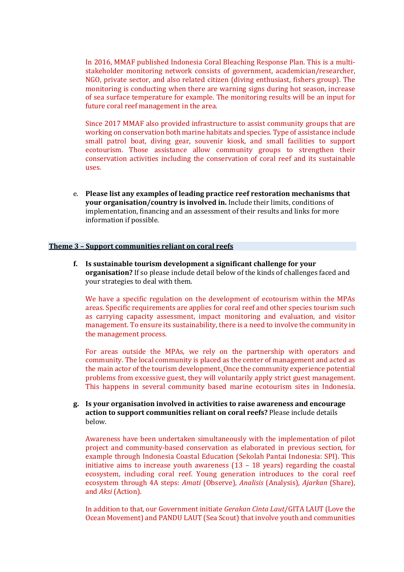In 2016, MMAF published Indonesia Coral Bleaching Response Plan. This is a multistakeholder monitoring network consists of government, academician/researcher, NGO, private sector, and also related citizen (diving enthusiast, fishers group). The monitoring is conducting when there are warning signs during hot season, increase of sea surface temperature for example. The monitoring results will be an input for future coral reef management in the area.

Since 2017 MMAF also provided infrastructure to assist community groups that are working on conservation both marine habitats and species. Type of assistance include small patrol boat, diving gear, souvenir kiosk, and small facilities to support ecotourism. Those assistance allow community groups to strengthen their conservation activities including the conservation of coral reef and its sustainable uses.

e. Please list any examples of leading practice reef restoration mechanisms that **your organisation/country is involved in.** Include their limits, conditions of implementation, financing and an assessment of their results and links for more information if possible.

#### **Theme 3 - Support communities reliant on coral reefs**

**f.** Is sustainable tourism development a significant challenge for your **organisation?** If so please include detail below of the kinds of challenges faced and your strategies to deal with them.

We have a specific regulation on the development of ecotourism within the MPAs areas. Specific requirements are applies for coral reef and other species tourism such as carrying capacity assessment, impact monitoring and evaluation, and visitor management. To ensure its sustainability, there is a need to involve the community in the management process.

For areas outside the MPAs, we rely on the partnership with operators and community. The local community is placed as the center of management and acted as the main actor of the tourism development. Once the community experience potential problems from excessive guest, they will voluntarily apply strict guest management. This happens in several community based marine ecotourism sites in Indonesia.

**g. Is your organisation involved in activities to raise awareness and encourage action to support communities reliant on coral reefs?** Please include details below.

Awareness have been undertaken simultaneously with the implementation of pilot project and community-based conservation as elaborated in previous section, for example through Indonesia Coastal Education (Sekolah Pantai Indonesia: SPI). This initiative aims to increase youth awareness  $(13 - 18 \text{ years})$  regarding the coastal ecosystem, including coral reef. Young generation introduces to the coral reef ecosystem through 4A steps: Amati (Observe), Analisis (Analysis), Ajarkan (Share), and *Aksi* (Action).

In addition to that, our Government initiate *Gerakan Cinta Laut*/GITA LAUT (Love the Ocean Movement) and PANDU LAUT (Sea Scout) that involve youth and communities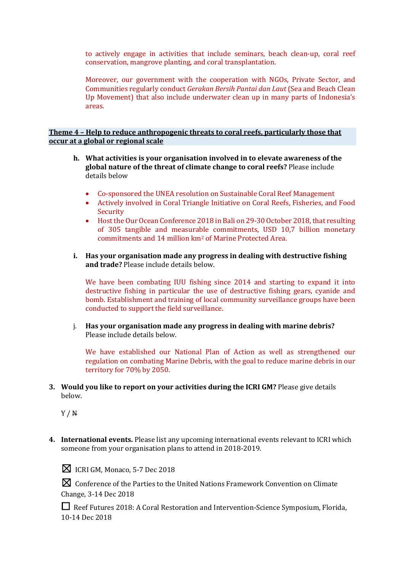to actively engage in activities that include seminars, beach clean-up, coral reef conservation, mangrove planting, and coral transplantation.

Moreover, our government with the cooperation with NGOs, Private Sector, and Communities regularly conduct *Gerakan Bersih Pantai dan Laut* (Sea and Beach Clean Up Movement) that also include underwater clean up in many parts of Indonesia's areas.

#### **Theme 4 - Help to reduce anthropogenic threats to coral reefs, particularly those that occur at a global or regional scale**

- **h.** What activities is your organisation involved in to elevate awareness of the global nature of the threat of climate change to coral reefs? Please include details below
	- Co-sponsored the UNEA resolution on Sustainable Coral Reef Management
	- Actively involved in Coral Triangle Initiative on Coral Reefs, Fisheries, and Food Security
	- Host the Our Ocean Conference 2018 in Bali on 29-30 October 2018, that resulting of 305 tangible and measurable commitments, USD 10,7 billion monetary commitments and 14 million km<sup>2</sup> of Marine Protected Area.
- **i.** Has your organisation made any progress in dealing with destructive fishing and trade? Please include details below.

We have been combating IUU fishing since 2014 and starting to expand it into destructive fishing in particular the use of destructive fishing gears, cyanide and bomb. Establishment and training of local community surveillance groups have been conducted to support the field surveillance.

j. Has your organisation made any progress in dealing with marine debris? Please include details below.

We have established our National Plan of Action as well as strengthened our regulation on combating Marine Debris, with the goal to reduce marine debris in our territory for 70% by 2050.

**3.** Would you like to report on your activities during the ICRI GM? Please give details below.

Y / N

**4.** International events. Please list any upcoming international events relevant to ICRI which someone from your organisation plans to attend in 2018-2019.

 $\boxtimes$  ICRI GM, Monaco, 5-7 Dec 2018

 $\boxtimes$  Conference of the Parties to the United Nations Framework Convention on Climate Change, 3-14 Dec 2018

**□** Reef Futures 2018: A Coral Restoration and Intervention-Science Symposium, Florida, 10-14 Dec 2018